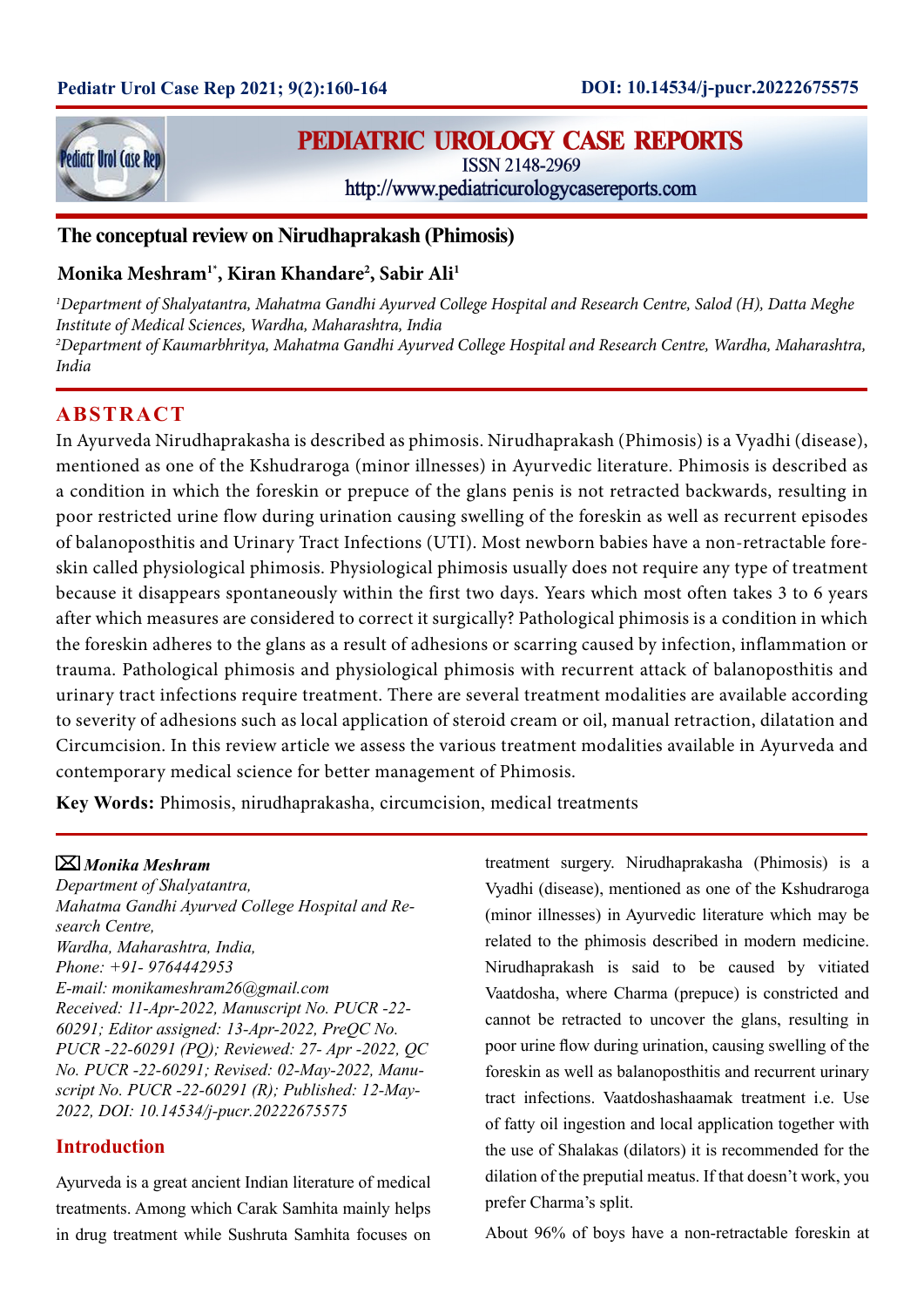

# **PEDIATRIC UROLOGY CASE REPORTS**

ISSN 2148-2969

http://www.pediatricurologycasereports.com

# **The conceptual review on Nirudhaprakash (Phimosis)**

# **Monika Meshram1\*, Kiran Khandare2 , Sabir Ali1**

*1 Department of Shalyatantra, Mahatma Gandhi Ayurved College Hospital and Research Centre, Salod (H), Datta Meghe Institute of Medical Sciences, Wardha, Maharashtra, India 2 Department of Kaumarbhritya, Mahatma Gandhi Ayurved College Hospital and Research Centre, Wardha, Maharashtra, India*

# **ABSTRACT**

In Ayurveda Nirudhaprakasha is described as phimosis. Nirudhaprakash (Phimosis) is a Vyadhi (disease), mentioned as one of the Kshudraroga (minor illnesses) in Ayurvedic literature. Phimosis is described as a condition in which the foreskin or prepuce of the glans penis is not retracted backwards, resulting in poor restricted urine flow during urination causing swelling of the foreskin as well as recurrent episodes of balanoposthitis and Urinary Tract Infections (UTI). Most newborn babies have a non-retractable foreskin called physiological phimosis. Physiological phimosis usually does not require any type of treatment because it disappears spontaneously within the first two days. Years which most often takes 3 to 6 years after which measures are considered to correct it surgically? Pathological phimosis is a condition in which the foreskin adheres to the glans as a result of adhesions or scarring caused by infection, inflammation or trauma. Pathological phimosis and physiological phimosis with recurrent attack of balanoposthitis and urinary tract infections require treatment. There are several treatment modalities are available according to severity of adhesions such as local application of steroid cream or oil, manual retraction, dilatation and Circumcision. In this review article we assess the various treatment modalities available in Ayurveda and contemporary medical science for better management of Phimosis.

**Key Words:** Phimosis, nirudhaprakasha, circumcision, medical treatments

# *Monika Meshram*

*Department of Shalyatantra, Mahatma Gandhi Ayurved College Hospital and Research Centre, Wardha, Maharashtra, India, Phone: +91- 9764442953 E-mail: monikameshram26@gmail.com Received: 11-Apr-2022, Manuscript No. PUCR -22- 60291; Editor assigned: 13-Apr-2022, PreQC No. PUCR -22-60291 (PQ); Reviewed: 27- Apr -2022, QC No. PUCR -22-60291; Revised: 02-May-2022, Manuscript No. PUCR -22-60291 (R); Published: 12-May-2022, DOI: 10.14534/j-pucr.20222675575*

# **Introduction**

Ayurveda is a great ancient Indian literature of medical treatments. Among which Carak Samhita mainly helps in drug treatment while Sushruta Samhita focuses on

treatment surgery. Nirudhaprakasha (Phimosis) is a Vyadhi (disease), mentioned as one of the Kshudraroga (minor illnesses) in Ayurvedic literature which may be related to the phimosis described in modern medicine. Nirudhaprakash is said to be caused by vitiated Vaatdosha, where Charma (prepuce) is constricted and cannot be retracted to uncover the glans, resulting in poor urine flow during urination, causing swelling of the foreskin as well as balanoposthitis and recurrent urinary tract infections. Vaatdoshashaamak treatment i.e. Use of fatty oil ingestion and local application together with the use of Shalakas (dilators) it is recommended for the dilation of the preputial meatus. If that doesn't work, you prefer Charma's split.

About 96% of boys have a non-retractable foreskin at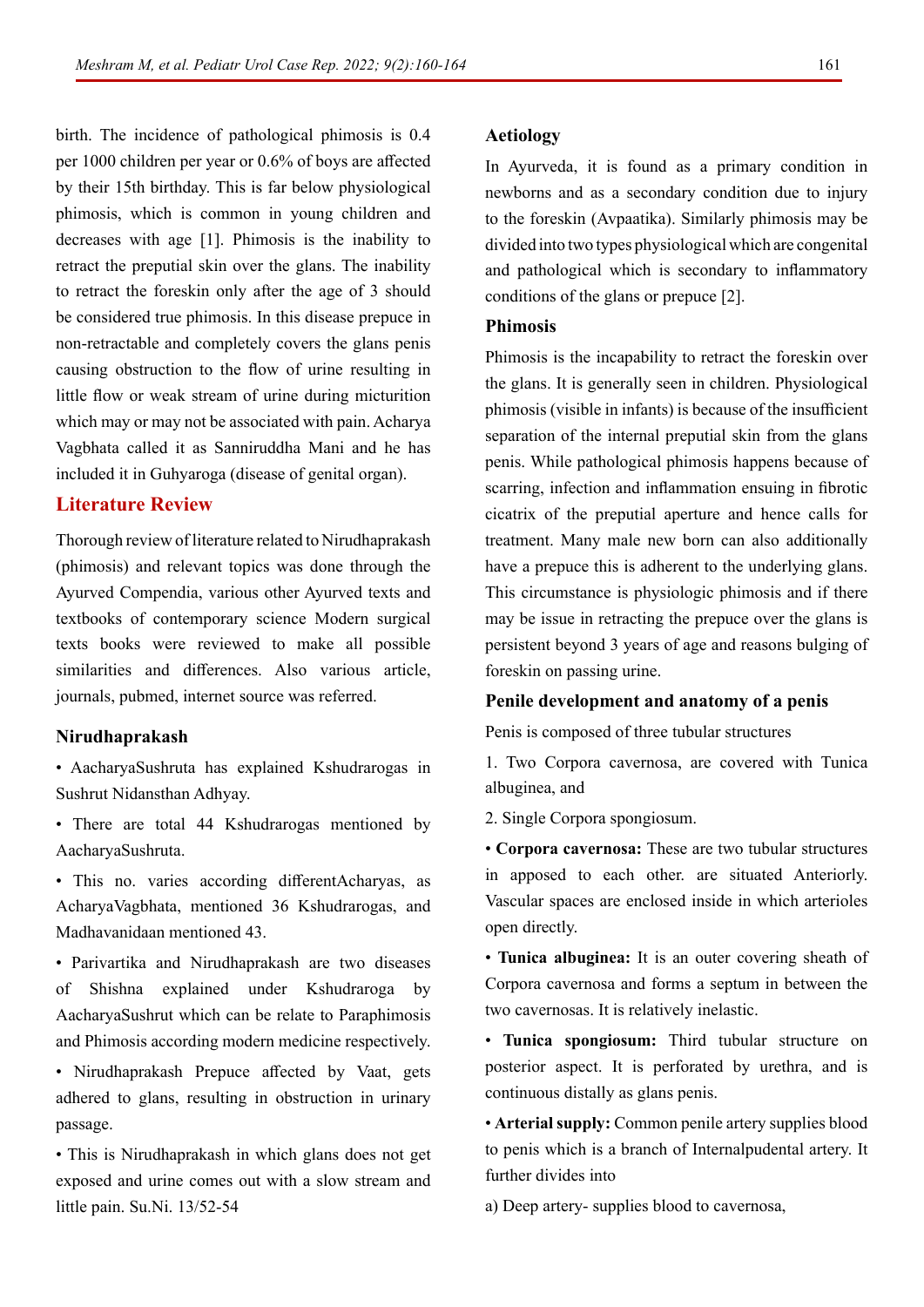birth. The incidence of pathological phimosis is 0.4 per 1000 children per year or 0.6% of boys are affected by their 15th birthday. This is far below physiological phimosis, which is common in young children and decreases with age [1]. Phimosis is the inability to retract the preputial skin over the glans. The inability to retract the foreskin only after the age of 3 should be considered true phimosis. In this disease prepuce in non-retractable and completely covers the glans penis causing obstruction to the flow of urine resulting in little flow or weak stream of urine during micturition which may or may not be associated with pain. Acharya Vagbhata called it as Sanniruddha Mani and he has included it in Guhyaroga (disease of genital organ).

### **Literature Review**

Thorough review of literature related to Nirudhaprakash (phimosis) and relevant topics was done through the Ayurved Compendia, various other Ayurved texts and textbooks of contemporary science Modern surgical texts books were reviewed to make all possible similarities and differences. Also various article, journals, pubmed, internet source was referred.

### **Nirudhaprakash**

- AacharyaSushruta has explained Kshudrarogas in Sushrut Nidansthan Adhyay.
- There are total 44 Kshudrarogas mentioned by AacharyaSushruta.
- This no. varies according differentAcharyas, as AcharyaVagbhata, mentioned 36 Kshudrarogas, and Madhavanidaan mentioned 43.
- Parivartika and Nirudhaprakash are two diseases of Shishna explained under Kshudraroga by AacharyaSushrut which can be relate to Paraphimosis and Phimosis according modern medicine respectively.
- Nirudhaprakash Prepuce affected by Vaat, gets adhered to glans, resulting in obstruction in urinary passage.
- This is Nirudhaprakash in which glans does not get exposed and urine comes out with a slow stream and little pain. Su.Ni. 13/52-54

### **Aetiology**

In Ayurveda, it is found as a primary condition in newborns and as a secondary condition due to injury to the foreskin (Avpaatika). Similarly phimosis may be divided into two types physiological which are congenital and pathological which is secondary to inflammatory conditions of the glans or prepuce [2].

### **Phimosis**

Phimosis is the incapability to retract the foreskin over the glans. It is generally seen in children. Physiological phimosis (visible in infants) is because of the insufficient separation of the internal preputial skin from the glans penis. While pathological phimosis happens because of scarring, infection and inflammation ensuing in fibrotic cicatrix of the preputial aperture and hence calls for treatment. Many male new born can also additionally have a prepuce this is adherent to the underlying glans. This circumstance is physiologic phimosis and if there may be issue in retracting the prepuce over the glans is persistent beyond 3 years of age and reasons bulging of foreskin on passing urine.

#### **Penile development and anatomy of a penis**

Penis is composed of three tubular structures

1. Two Corpora cavernosa, are covered with Tunica albuginea, and

2. Single Corpora spongiosum.

• **Corpora cavernosa:** These are two tubular structures in apposed to each other. are situated Anteriorly. Vascular spaces are enclosed inside in which arterioles open directly.

• **Tunica albuginea:** It is an outer covering sheath of Corpora cavernosa and forms a septum in between the two cavernosas. It is relatively inelastic.

• **Tunica spongiosum:** Third tubular structure on posterior aspect. It is perforated by urethra, and is continuous distally as glans penis.

• **Arterial supply:** Common penile artery supplies blood to penis which is a branch of Internalpudental artery. It further divides into

a) Deep artery- supplies blood to cavernosa,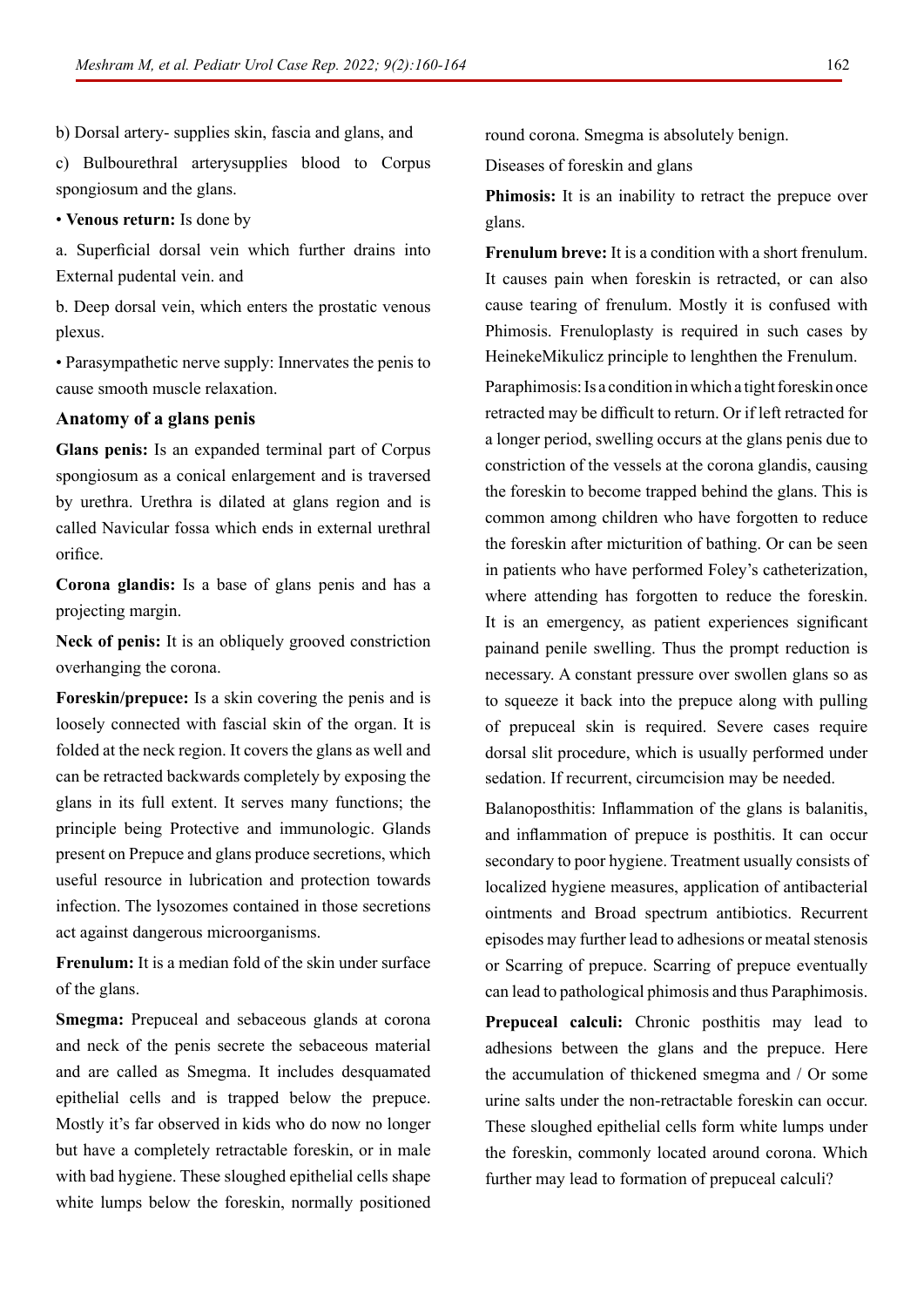b) Dorsal artery- supplies skin, fascia and glans, and

c) Bulbourethral arterysupplies blood to Corpus spongiosum and the glans.

#### • **Venous return:** Is done by

a. Superficial dorsal vein which further drains into External pudental vein. and

b. Deep dorsal vein, which enters the prostatic venous plexus.

• Parasympathetic nerve supply: Innervates the penis to cause smooth muscle relaxation.

### **Anatomy of a glans penis**

**Glans penis:** Is an expanded terminal part of Corpus spongiosum as a conical enlargement and is traversed by urethra. Urethra is dilated at glans region and is called Navicular fossa which ends in external urethral orifice.

**Corona glandis:** Is a base of glans penis and has a projecting margin.

**Neck of penis:** It is an obliquely grooved constriction overhanging the corona.

**Foreskin/prepuce:** Is a skin covering the penis and is loosely connected with fascial skin of the organ. It is folded at the neck region. It covers the glans as well and can be retracted backwards completely by exposing the glans in its full extent. It serves many functions; the principle being Protective and immunologic. Glands present on Prepuce and glans produce secretions, which useful resource in lubrication and protection towards infection. The lysozomes contained in those secretions act against dangerous microorganisms.

**Frenulum:** It is a median fold of the skin under surface of the glans.

**Smegma:** Prepuceal and sebaceous glands at corona and neck of the penis secrete the sebaceous material and are called as Smegma. It includes desquamated epithelial cells and is trapped below the prepuce. Mostly it's far observed in kids who do now no longer but have a completely retractable foreskin, or in male with bad hygiene. These sloughed epithelial cells shape white lumps below the foreskin, normally positioned

round corona. Smegma is absolutely benign.

Diseases of foreskin and glans

**Phimosis:** It is an inability to retract the prepuce over glans.

**Frenulum breve:** It is a condition with a short frenulum. It causes pain when foreskin is retracted, or can also cause tearing of frenulum. Mostly it is confused with Phimosis. Frenuloplasty is required in such cases by HeinekeMikulicz principle to lenghthen the Frenulum.

Paraphimosis: Is a condition in which a tight foreskin once retracted may be difficult to return. Or if left retracted for a longer period, swelling occurs at the glans penis due to constriction of the vessels at the corona glandis, causing the foreskin to become trapped behind the glans. This is common among children who have forgotten to reduce the foreskin after micturition of bathing. Or can be seen in patients who have performed Foley's catheterization, where attending has forgotten to reduce the foreskin. It is an emergency, as patient experiences significant painand penile swelling. Thus the prompt reduction is necessary. A constant pressure over swollen glans so as to squeeze it back into the prepuce along with pulling of prepuceal skin is required. Severe cases require dorsal slit procedure, which is usually performed under sedation. If recurrent, circumcision may be needed.

Balanoposthitis: Inflammation of the glans is balanitis, and inflammation of prepuce is posthitis. It can occur secondary to poor hygiene. Treatment usually consists of localized hygiene measures, application of antibacterial ointments and Broad spectrum antibiotics. Recurrent episodes may further lead to adhesions or meatal stenosis or Scarring of prepuce. Scarring of prepuce eventually can lead to pathological phimosis and thus Paraphimosis.

**Prepuceal calculi:** Chronic posthitis may lead to adhesions between the glans and the prepuce. Here the accumulation of thickened smegma and / Or some urine salts under the non-retractable foreskin can occur. These sloughed epithelial cells form white lumps under the foreskin, commonly located around corona. Which further may lead to formation of prepuceal calculi?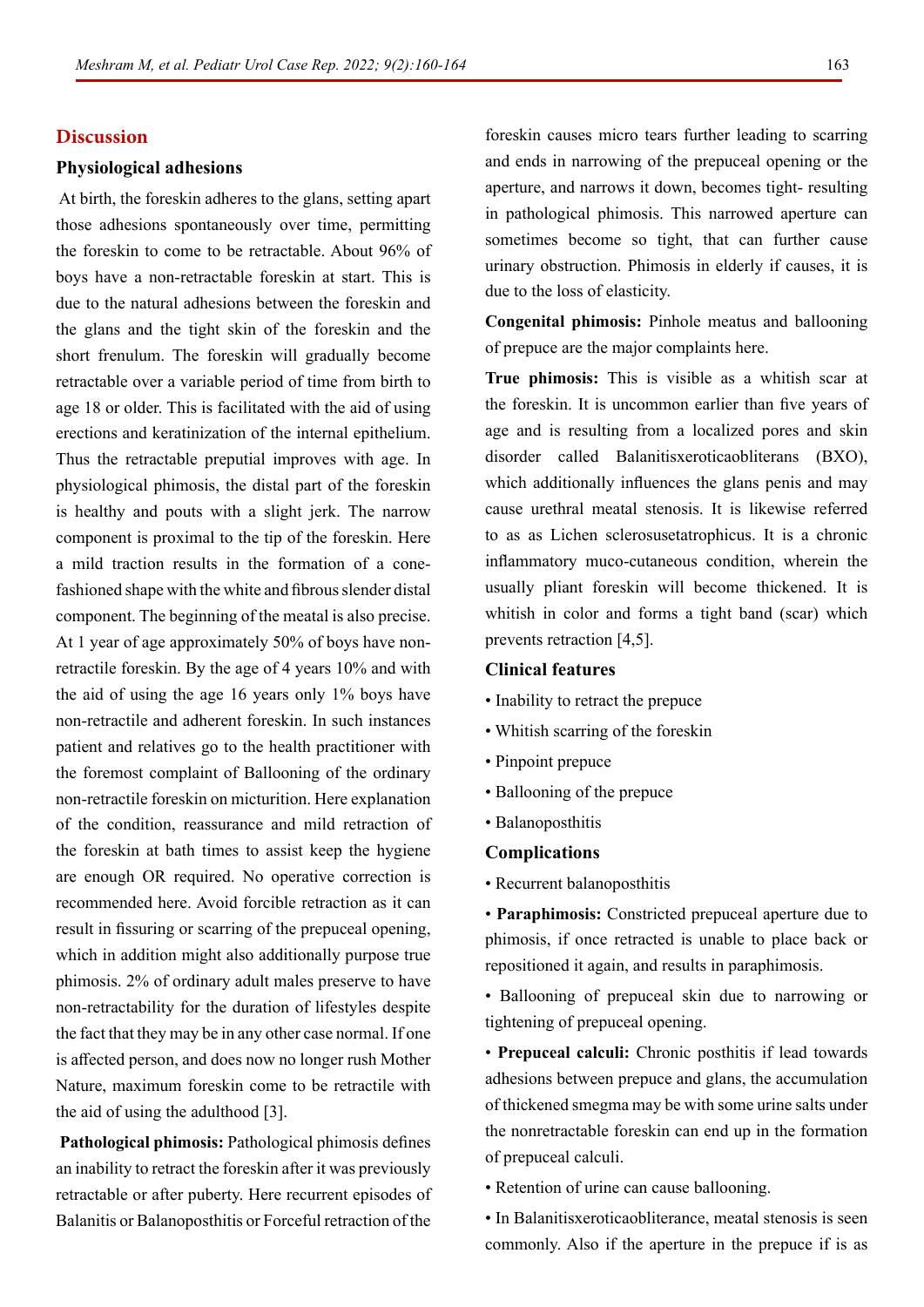### **Discussion**

#### **Physiological adhesions**

 At birth, the foreskin adheres to the glans, setting apart those adhesions spontaneously over time, permitting the foreskin to come to be retractable. About 96% of boys have a non-retractable foreskin at start. This is due to the natural adhesions between the foreskin and the glans and the tight skin of the foreskin and the short frenulum. The foreskin will gradually become retractable over a variable period of time from birth to age 18 or older. This is facilitated with the aid of using erections and keratinization of the internal epithelium. Thus the retractable preputial improves with age. In physiological phimosis, the distal part of the foreskin is healthy and pouts with a slight jerk. The narrow component is proximal to the tip of the foreskin. Here a mild traction results in the formation of a conefashioned shape with the white and fibrous slender distal component. The beginning of the meatal is also precise. At 1 year of age approximately 50% of boys have nonretractile foreskin. By the age of 4 years 10% and with the aid of using the age 16 years only 1% boys have non-retractile and adherent foreskin. In such instances patient and relatives go to the health practitioner with the foremost complaint of Ballooning of the ordinary non-retractile foreskin on micturition. Here explanation of the condition, reassurance and mild retraction of the foreskin at bath times to assist keep the hygiene are enough OR required. No operative correction is recommended here. Avoid forcible retraction as it can result in fissuring or scarring of the prepuceal opening, which in addition might also additionally purpose true phimosis. 2% of ordinary adult males preserve to have non-retractability for the duration of lifestyles despite the fact that they may be in any other case normal. If one is affected person, and does now no longer rush Mother Nature, maximum foreskin come to be retractile with the aid of using the adulthood [3].

 **Pathological phimosis:** Pathological phimosis defines an inability to retract the foreskin after it was previously retractable or after puberty. Here recurrent episodes of Balanitis or Balanoposthitis or Forceful retraction of the

foreskin causes micro tears further leading to scarring and ends in narrowing of the prepuceal opening or the aperture, and narrows it down, becomes tight- resulting in pathological phimosis. This narrowed aperture can sometimes become so tight, that can further cause urinary obstruction. Phimosis in elderly if causes, it is due to the loss of elasticity.

**Congenital phimosis:** Pinhole meatus and ballooning of prepuce are the major complaints here.

**True phimosis:** This is visible as a whitish scar at the foreskin. It is uncommon earlier than five years of age and is resulting from a localized pores and skin disorder called Balanitisxeroticaobliterans (BXO), which additionally influences the glans penis and may cause urethral meatal stenosis. It is likewise referred to as as Lichen sclerosusetatrophicus. It is a chronic inflammatory muco-cutaneous condition, wherein the usually pliant foreskin will become thickened. It is whitish in color and forms a tight band (scar) which prevents retraction [4,5].

# **Clinical features**

- Inability to retract the prepuce
- Whitish scarring of the foreskin
- Pinpoint prepuce
- Ballooning of the prepuce
- Balanoposthitis

#### **Complications**

• Recurrent balanoposthitis

• **Paraphimosis:** Constricted prepuceal aperture due to phimosis, if once retracted is unable to place back or repositioned it again, and results in paraphimosis.

• Ballooning of prepuceal skin due to narrowing or tightening of prepuceal opening.

• **Prepuceal calculi:** Chronic posthitis if lead towards adhesions between prepuce and glans, the accumulation of thickened smegma may be with some urine salts under the nonretractable foreskin can end up in the formation of prepuceal calculi.

• Retention of urine can cause ballooning.

• In Balanitisxeroticaobliterance, meatal stenosis is seen commonly. Also if the aperture in the prepuce if is as